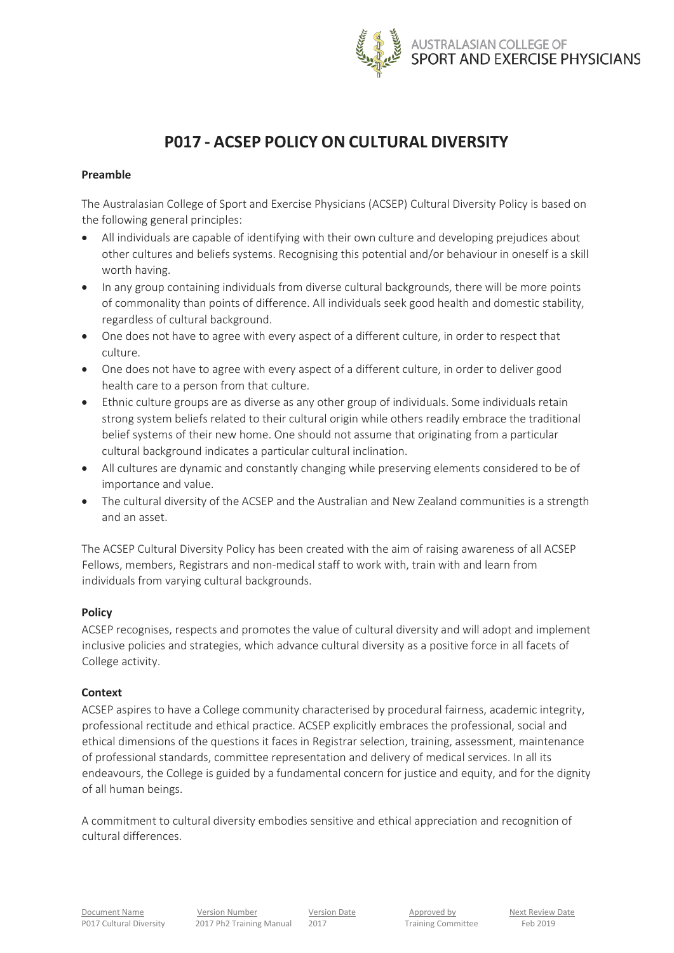

# **P017 - ACSEP POLICY ON CULTURAL DIVERSITY**

# **Preamble**

The Australasian College of Sport and Exercise Physicians (ACSEP) Cultural Diversity Policy is based on the following general principles:

- All individuals are capable of identifying with their own culture and developing prejudices about other cultures and beliefs systems. Recognising this potential and/or behaviour in oneself is a skill worth having.
- In any group containing individuals from diverse cultural backgrounds, there will be more points of commonality than points of difference. All individuals seek good health and domestic stability, regardless of cultural background.
- One does not have to agree with every aspect of a different culture, in order to respect that culture.
- One does not have to agree with every aspect of a different culture, in order to deliver good health care to a person from that culture.
- Ethnic culture groups are as diverse as any other group of individuals. Some individuals retain strong system beliefs related to their cultural origin while others readily embrace the traditional belief systems of their new home. One should not assume that originating from a particular cultural background indicates a particular cultural inclination.
- All cultures are dynamic and constantly changing while preserving elements considered to be of importance and value.
- The cultural diversity of the ACSEP and the Australian and New Zealand communities is a strength and an asset.

The ACSEP Cultural Diversity Policy has been created with the aim of raising awareness of all ACSEP Fellows, members, Registrars and non-medical staff to work with, train with and learn from individuals from varying cultural backgrounds.

### **Policy**

ACSEP recognises, respects and promotes the value of cultural diversity and will adopt and implement inclusive policies and strategies, which advance cultural diversity as a positive force in all facets of College activity.

# **Context**

ACSEP aspires to have a College community characterised by procedural fairness, academic integrity, professional rectitude and ethical practice. ACSEP explicitly embraces the professional, social and ethical dimensions of the questions it faces in Registrar selection, training, assessment, maintenance of professional standards, committee representation and delivery of medical services. In all its endeavours, the College is guided by a fundamental concern for justice and equity, and for the dignity of all human beings.

A commitment to cultural diversity embodies sensitive and ethical appreciation and recognition of cultural differences.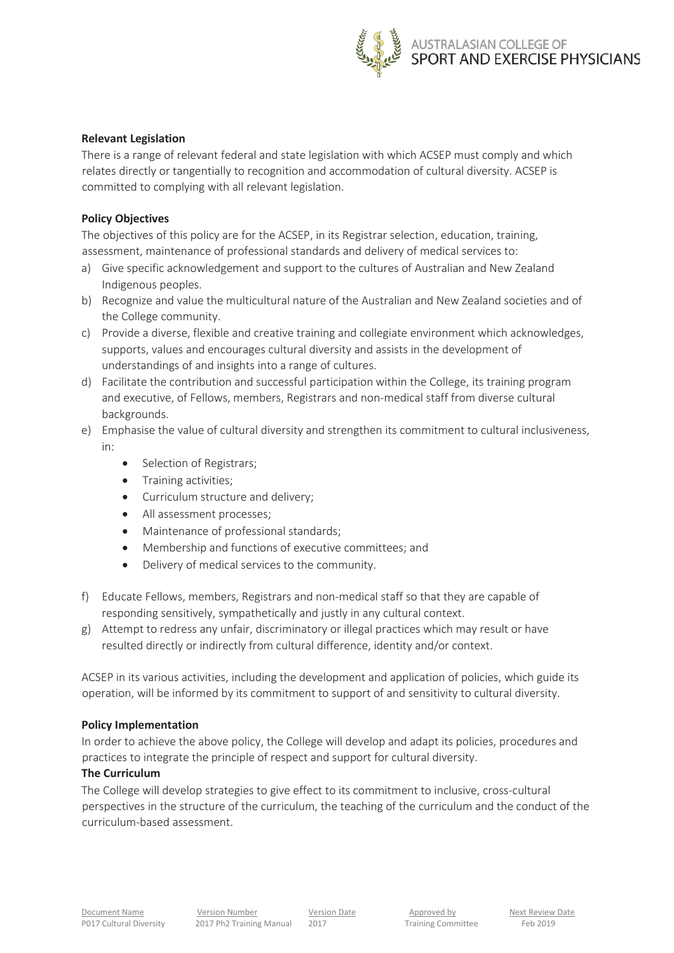

# **Relevant Legislation**

There is a range of relevant federal and state legislation with which ACSEP must comply and which relates directly or tangentially to recognition and accommodation of cultural diversity. ACSEP is committed to complying with all relevant legislation.

# **Policy Objectives**

The objectives of this policy are for the ACSEP, in its Registrar selection, education, training, assessment, maintenance of professional standards and delivery of medical services to:

- a) Give specific acknowledgement and support to the cultures of Australian and New Zealand Indigenous peoples.
- b) Recognize and value the multicultural nature of the Australian and New Zealand societies and of the College community.
- c) Provide a diverse, flexible and creative training and collegiate environment which acknowledges, supports, values and encourages cultural diversity and assists in the development of understandings of and insights into a range of cultures.
- d) Facilitate the contribution and successful participation within the College, its training program and executive, of Fellows, members, Registrars and non-medical staff from diverse cultural backgrounds.
- e) Emphasise the value of cultural diversity and strengthen its commitment to cultural inclusiveness, in:
	- Selection of Registrars;
	- Training activities;
	- Curriculum structure and delivery;
	- All assessment processes;
	- Maintenance of professional standards:
	- Membership and functions of executive committees; and
	- Delivery of medical services to the community.
- f) Educate Fellows, members, Registrars and non-medical staff so that they are capable of responding sensitively, sympathetically and justly in any cultural context.
- g) Attempt to redress any unfair, discriminatory or illegal practices which may result or have resulted directly or indirectly from cultural difference, identity and/or context.

ACSEP in its various activities, including the development and application of policies, which guide its operation, will be informed by its commitment to support of and sensitivity to cultural diversity.

# **Policy Implementation**

In order to achieve the above policy, the College will develop and adapt its policies, procedures and practices to integrate the principle of respect and support for cultural diversity.

# **The Curriculum**

The College will develop strategies to give effect to its commitment to inclusive, cross-cultural perspectives in the structure of the curriculum, the teaching of the curriculum and the conduct of the curriculum-based assessment.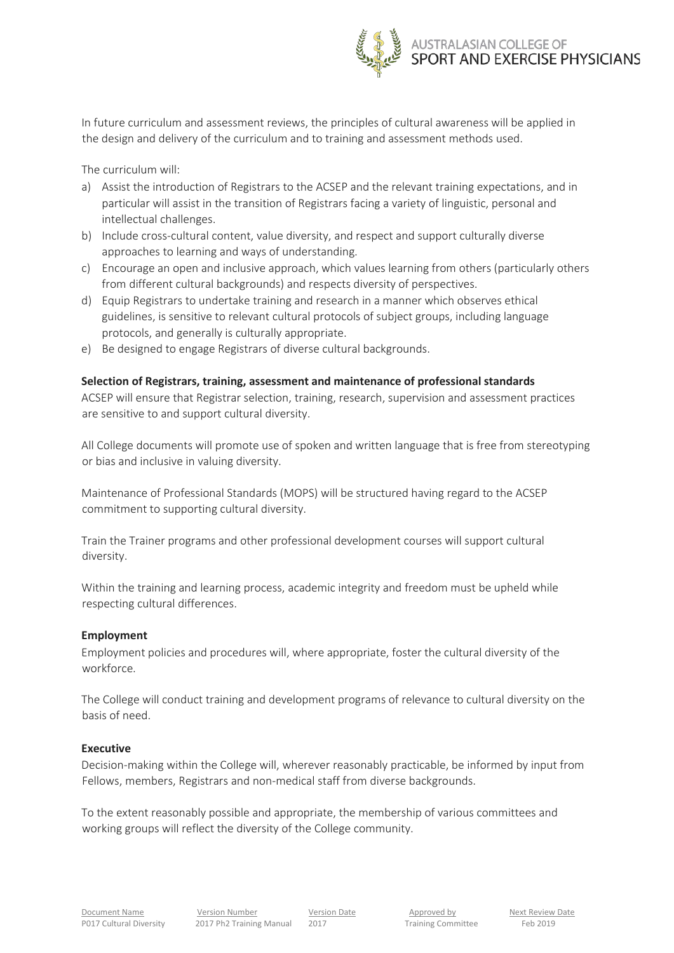

In future curriculum and assessment reviews, the principles of cultural awareness will be applied in the design and delivery of the curriculum and to training and assessment methods used.

The curriculum will:

- a) Assist the introduction of Registrars to the ACSEP and the relevant training expectations, and in particular will assist in the transition of Registrars facing a variety of linguistic, personal and intellectual challenges.
- b) Include cross-cultural content, value diversity, and respect and support culturally diverse approaches to learning and ways of understanding.
- c) Encourage an open and inclusive approach, which values learning from others (particularly others from different cultural backgrounds) and respects diversity of perspectives.
- d) Equip Registrars to undertake training and research in a manner which observes ethical guidelines, is sensitive to relevant cultural protocols of subject groups, including language protocols, and generally is culturally appropriate.
- e) Be designed to engage Registrars of diverse cultural backgrounds.

### **Selection of Registrars, training, assessment and maintenance of professional standards**

ACSEP will ensure that Registrar selection, training, research, supervision and assessment practices are sensitive to and support cultural diversity.

All College documents will promote use of spoken and written language that is free from stereotyping or bias and inclusive in valuing diversity.

Maintenance of Professional Standards (MOPS) will be structured having regard to the ACSEP commitment to supporting cultural diversity.

Train the Trainer programs and other professional development courses will support cultural diversity.

Within the training and learning process, academic integrity and freedom must be upheld while respecting cultural differences.

#### **Employment**

Employment policies and procedures will, where appropriate, foster the cultural diversity of the workforce.

The College will conduct training and development programs of relevance to cultural diversity on the basis of need.

#### **Executive**

Decision-making within the College will, wherever reasonably practicable, be informed by input from Fellows, members, Registrars and non-medical staff from diverse backgrounds.

To the extent reasonably possible and appropriate, the membership of various committees and working groups will reflect the diversity of the College community.